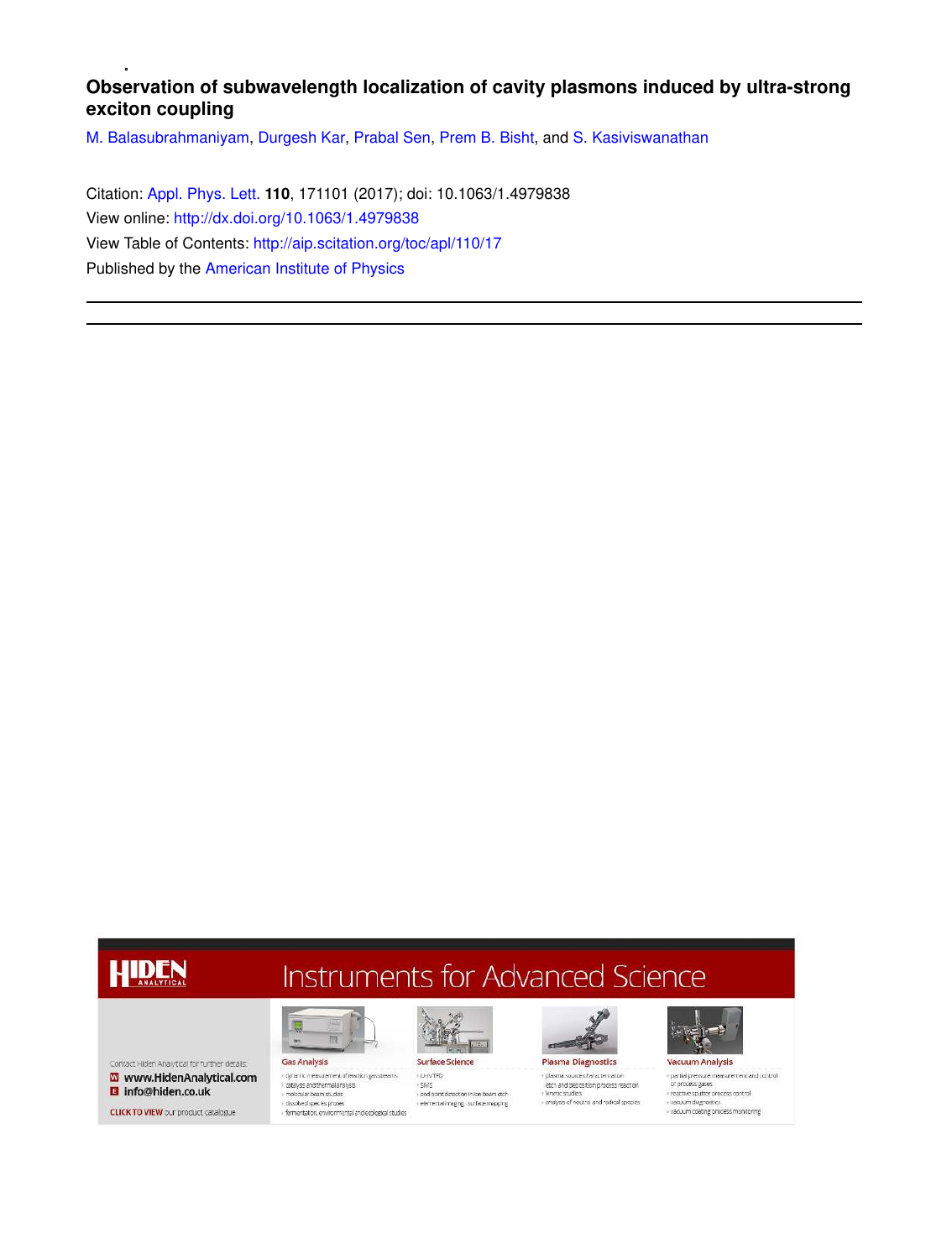## **Observation of subwavelength localization of cavity plasmons induced by ultra-strong exciton coupling**

M. Balasubrahmaniyam, Durgesh Kar, Prabal Sen, Prem B. Bisht, and S. Kasiviswanathan

Citation: Appl. Phys. Lett. **110**, 171101 (2017); doi: 10.1063/1.4979838 View online: http://dx.doi.org/10.1063/1.4979838 View Table of Contents: http://aip.scitation.org/toc/apl/110/17 Published by the American Institute of Physics

## **HIDEN**

**Instruments for Advanced Science** 

Contact Hiden Analytical for further details. W www.HidenAnalytical.com **B** info@hiden.co.uk

**CLICK TO VIEW** our product catalogue



 $\sqrt{\frac{1}{2}}$ 



r daeigse eind until hand eigea<br>» motecular beam studies<br>» fermentation, environmental and ecological studies end point detection in ion beam etch<br>elemental imaging - surface mapping



**Plasma Diagnostics** 

+ plasma source characterization etch and deposition process reaction<br>• kinetic studies r ancuc suures<br>i analyss of neutral and radical species



 $\bar{\tau}$  pertial pressure measurement and control of process gases reactive sputter process control<br>רשמטעות diagnostics<br>רשמטעות coating process menitoring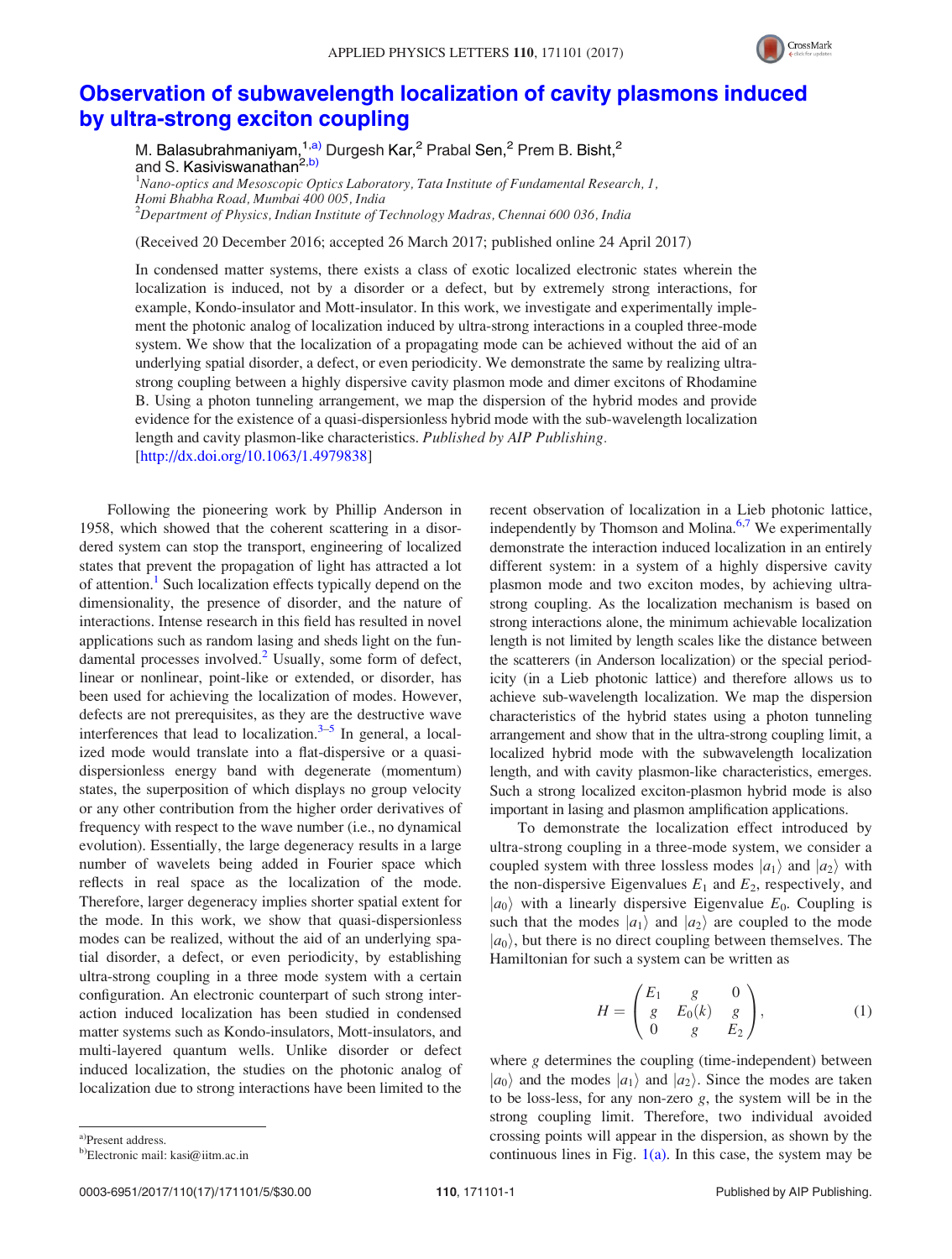

## Observation of subwavelength localization of cavity plasmons induced by ultra-strong exciton coupling

M. Balasubrahmaniyam,  $1, a$ ) Durgesh Kar, <sup>2</sup> Prabal Sen, <sup>2</sup> Prem B. Bisht, <sup>2</sup> and S. Kasiviswanathan<sup>2,b)</sup>  $1$ Nano-optics and Mesoscopic Optics Laboratory, Tata Institute of Fundamental Research, 1,

Homi Bhabha Road, Mumbai 400 005, India  $2$ Department of Physics, Indian Institute of Technology Madras, Chennai 600 036, India

(Received 20 December 2016; accepted 26 March 2017; published online 24 April 2017)

In condensed matter systems, there exists a class of exotic localized electronic states wherein the localization is induced, not by a disorder or a defect, but by extremely strong interactions, for example, Kondo-insulator and Mott-insulator. In this work, we investigate and experimentally implement the photonic analog of localization induced by ultra-strong interactions in a coupled three-mode system. We show that the localization of a propagating mode can be achieved without the aid of an underlying spatial disorder, a defect, or even periodicity. We demonstrate the same by realizing ultrastrong coupling between a highly dispersive cavity plasmon mode and dimer excitons of Rhodamine B. Using a photon tunneling arrangement, we map the dispersion of the hybrid modes and provide evidence for the existence of a quasi-dispersionless hybrid mode with the sub-wavelength localization length and cavity plasmon-like characteristics. Published by AIP Publishing. [http://dx.doi.org/10.1063/1.4979838]

Following the pioneering work by Phillip Anderson in 1958, which showed that the coherent scattering in a disordered system can stop the transport, engineering of localized states that prevent the propagation of light has attracted a lot of attention.<sup>1</sup> Such localization effects typically depend on the dimensionality, the presence of disorder, and the nature of interactions. Intense research in this field has resulted in novel applications such as random lasing and sheds light on the fundamental processes involved.<sup>2</sup> Usually, some form of defect, linear or nonlinear, point-like or extended, or disorder, has been used for achieving the localization of modes. However, defects are not prerequisites, as they are the destructive wave interferences that lead to localization. $3-5$  In general, a localized mode would translate into a flat-dispersive or a quasidispersionless energy band with degenerate (momentum) states, the superposition of which displays no group velocity or any other contribution from the higher order derivatives of frequency with respect to the wave number (i.e., no dynamical evolution). Essentially, the large degeneracy results in a large number of wavelets being added in Fourier space which reflects in real space as the localization of the mode. Therefore, larger degeneracy implies shorter spatial extent for the mode. In this work, we show that quasi-dispersionless modes can be realized, without the aid of an underlying spatial disorder, a defect, or even periodicity, by establishing ultra-strong coupling in a three mode system with a certain configuration. An electronic counterpart of such strong interaction induced localization has been studied in condensed matter systems such as Kondo-insulators, Mott-insulators, and multi-layered quantum wells. Unlike disorder or defect induced localization, the studies on the photonic analog of localization due to strong interactions have been limited to the recent observation of localization in a Lieb photonic lattice, independently by Thomson and Molina. $6,7$  We experimentally demonstrate the interaction induced localization in an entirely different system: in a system of a highly dispersive cavity plasmon mode and two exciton modes, by achieving ultrastrong coupling. As the localization mechanism is based on strong interactions alone, the minimum achievable localization length is not limited by length scales like the distance between the scatterers (in Anderson localization) or the special periodicity (in a Lieb photonic lattice) and therefore allows us to achieve sub-wavelength localization. We map the dispersion characteristics of the hybrid states using a photon tunneling arrangement and show that in the ultra-strong coupling limit, a localized hybrid mode with the subwavelength localization length, and with cavity plasmon-like characteristics, emerges. Such a strong localized exciton-plasmon hybrid mode is also important in lasing and plasmon amplification applications.

To demonstrate the localization effect introduced by ultra-strong coupling in a three-mode system, we consider a coupled system with three lossless modes  $|a_1\rangle$  and  $|a_2\rangle$  with the non-dispersive Eigenvalues  $E_1$  and  $E_2$ , respectively, and  $|a_0\rangle$  with a linearly dispersive Eigenvalue  $E_0$ . Coupling is such that the modes  $|a_1\rangle$  and  $|a_2\rangle$  are coupled to the mode  $|a_0\rangle$ , but there is no direct coupling between themselves. The Hamiltonian for such a system can be written as

$$
H = \begin{pmatrix} E_1 & g & 0 \\ g & E_0(k) & g \\ 0 & g & E_2 \end{pmatrix},
$$
 (1)

where g determines the coupling (time-independent) between  $|a_0\rangle$  and the modes  $|a_1\rangle$  and  $|a_2\rangle$ . Since the modes are taken to be loss-less, for any non-zero  $g$ , the system will be in the strong coupling limit. Therefore, two individual avoided crossing points will appear in the dispersion, as shown by the continuous lines in Fig.  $1(a)$ . In this case, the system may be

a)Present address.

b)Electronic mail: kasi@iitm.ac.in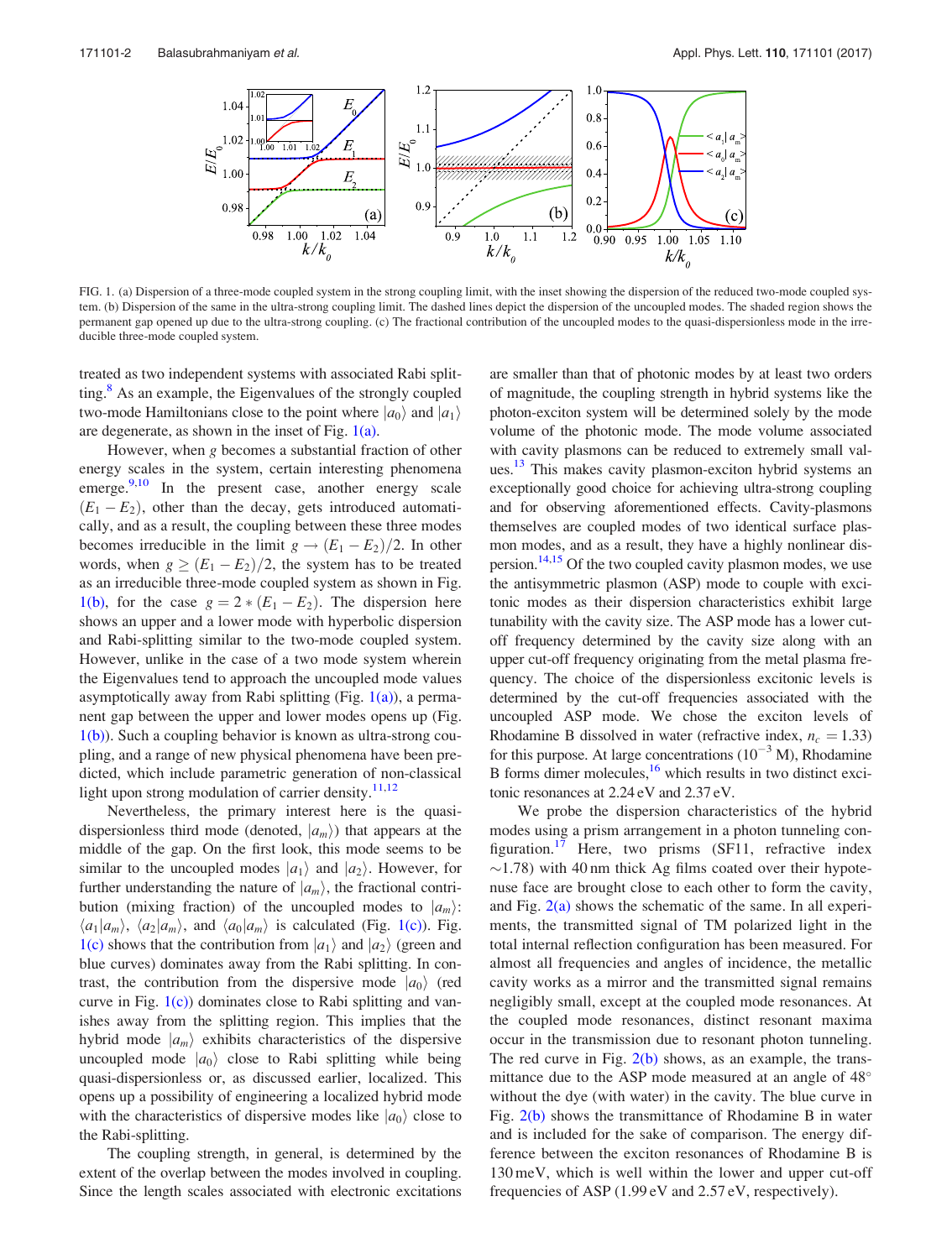

FIG. 1. (a) Dispersion of a three-mode coupled system in the strong coupling limit, with the inset showing the dispersion of the reduced two-mode coupled system. (b) Dispersion of the same in the ultra-strong coupling limit. The dashed lines depict the dispersion of the uncoupled modes. The shaded region shows the permanent gap opened up due to the ultra-strong coupling. (c) The fractional contribution of the uncoupled modes to the quasi-dispersionless mode in the irreducible three-mode coupled system.

treated as two independent systems with associated Rabi splitting. $8$  As an example, the Eigenvalues of the strongly coupled two-mode Hamiltonians close to the point where  $|a_0\rangle$  and  $|a_1\rangle$ are degenerate, as shown in the inset of Fig.  $1(a)$ .

However, when g becomes a substantial fraction of other energy scales in the system, certain interesting phenomena emerge. $9,10$  In the present case, another energy scale  $(E_1 - E_2)$ , other than the decay, gets introduced automatically, and as a result, the coupling between these three modes becomes irreducible in the limit  $g \rightarrow (E_1 - E_2)/2$ . In other words, when  $g \ge (E_1 - E_2)/2$ , the system has to be treated as an irreducible three-mode coupled system as shown in Fig. 1(b), for the case  $g = 2 * (E_1 - E_2)$ . The dispersion here shows an upper and a lower mode with hyperbolic dispersion and Rabi-splitting similar to the two-mode coupled system. However, unlike in the case of a two mode system wherein the Eigenvalues tend to approach the uncoupled mode values asymptotically away from Rabi splitting (Fig.  $1(a)$ ), a permanent gap between the upper and lower modes opens up (Fig.  $1(b)$ ). Such a coupling behavior is known as ultra-strong coupling, and a range of new physical phenomena have been predicted, which include parametric generation of non-classical light upon strong modulation of carrier density. $11,12$ 

Nevertheless, the primary interest here is the quasidispersionless third mode (denoted,  $|a_m\rangle$ ) that appears at the middle of the gap. On the first look, this mode seems to be similar to the uncoupled modes  $|a_1\rangle$  and  $|a_2\rangle$ . However, for further understanding the nature of  $|a_m\rangle$ , the fractional contribution (mixing fraction) of the uncoupled modes to  $|a_m\rangle$ :  $\langle a_1|a_m\rangle$ ,  $\langle a_2|a_m\rangle$ , and  $\langle a_0|a_m\rangle$  is calculated (Fig. 1(c)). Fig. 1(c) shows that the contribution from  $|a_1\rangle$  and  $|a_2\rangle$  (green and blue curves) dominates away from the Rabi splitting. In contrast, the contribution from the dispersive mode  $|a_0\rangle$  (red curve in Fig.  $1(c)$  dominates close to Rabi splitting and vanishes away from the splitting region. This implies that the hybrid mode  $|a_m\rangle$  exhibits characteristics of the dispersive uncoupled mode  $|a_0\rangle$  close to Rabi splitting while being quasi-dispersionless or, as discussed earlier, localized. This opens up a possibility of engineering a localized hybrid mode with the characteristics of dispersive modes like  $|a_0\rangle$  close to the Rabi-splitting.

The coupling strength, in general, is determined by the extent of the overlap between the modes involved in coupling. Since the length scales associated with electronic excitations are smaller than that of photonic modes by at least two orders of magnitude, the coupling strength in hybrid systems like the photon-exciton system will be determined solely by the mode volume of the photonic mode. The mode volume associated with cavity plasmons can be reduced to extremely small values.<sup>13</sup> This makes cavity plasmon-exciton hybrid systems an exceptionally good choice for achieving ultra-strong coupling and for observing aforementioned effects. Cavity-plasmons themselves are coupled modes of two identical surface plasmon modes, and as a result, they have a highly nonlinear dispersion.<sup>14,15</sup> Of the two coupled cavity plasmon modes, we use the antisymmetric plasmon (ASP) mode to couple with excitonic modes as their dispersion characteristics exhibit large tunability with the cavity size. The ASP mode has a lower cutoff frequency determined by the cavity size along with an upper cut-off frequency originating from the metal plasma frequency. The choice of the dispersionless excitonic levels is determined by the cut-off frequencies associated with the uncoupled ASP mode. We chose the exciton levels of Rhodamine B dissolved in water (refractive index,  $n_c = 1.33$ ) for this purpose. At large concentrations  $(10^{-3} M)$ , Rhodamine B forms dimer molecules, $16$  which results in two distinct excitonic resonances at 2.24 eV and 2.37 eV.

We probe the dispersion characteristics of the hybrid modes using a prism arrangement in a photon tunneling configuration.<sup>17</sup> Here, two prisms (SF11, refractive index  $\sim$ 1.78) with 40 nm thick Ag films coated over their hypotenuse face are brought close to each other to form the cavity, and Fig. 2(a) shows the schematic of the same. In all experiments, the transmitted signal of TM polarized light in the total internal reflection configuration has been measured. For almost all frequencies and angles of incidence, the metallic cavity works as a mirror and the transmitted signal remains negligibly small, except at the coupled mode resonances. At the coupled mode resonances, distinct resonant maxima occur in the transmission due to resonant photon tunneling. The red curve in Fig.  $2(b)$  shows, as an example, the transmittance due to the ASP mode measured at an angle of 48° without the dye (with water) in the cavity. The blue curve in Fig. 2(b) shows the transmittance of Rhodamine B in water and is included for the sake of comparison. The energy difference between the exciton resonances of Rhodamine B is 130 meV, which is well within the lower and upper cut-off frequencies of ASP (1.99 eV and 2.57 eV, respectively).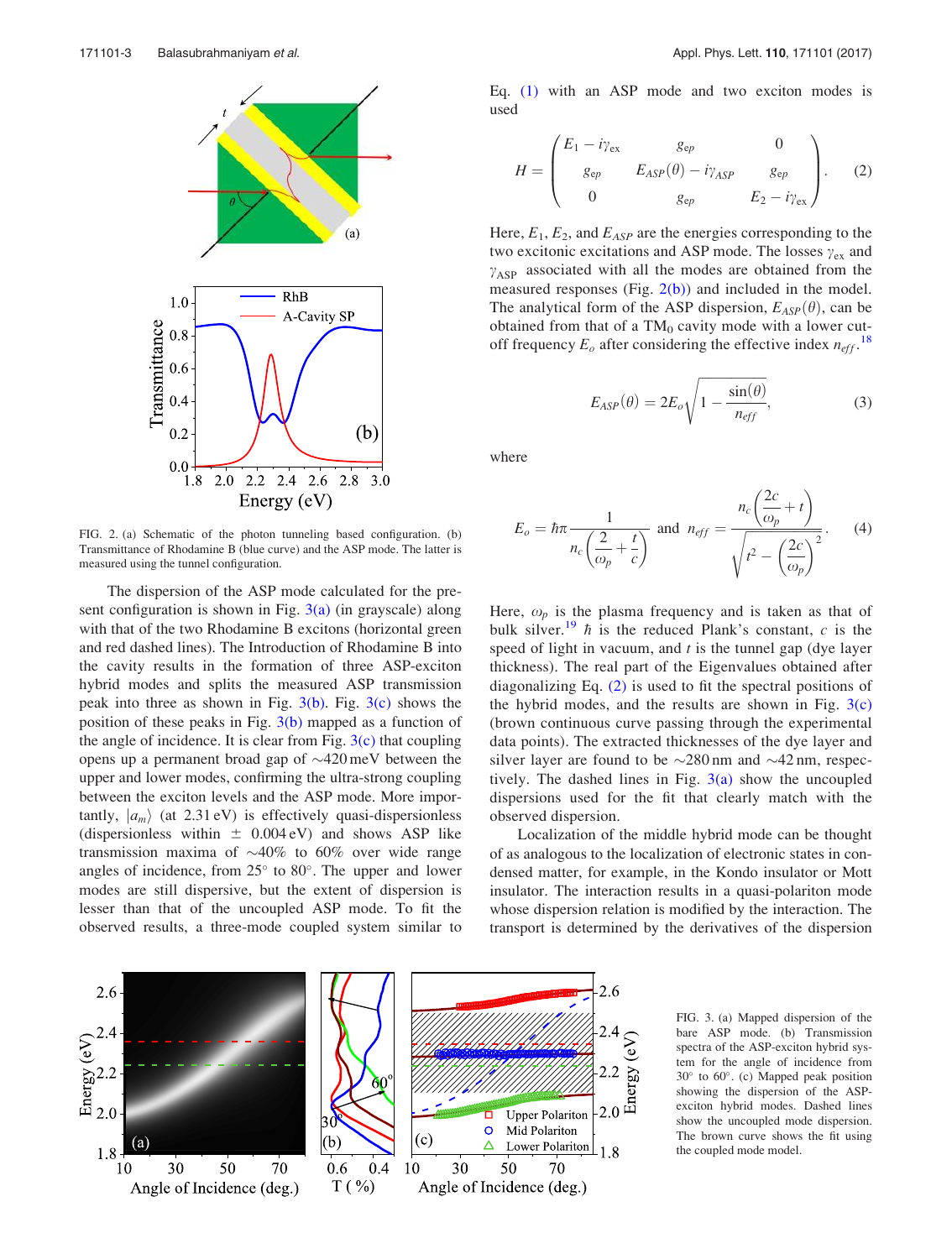

FIG. 2. (a) Schematic of the photon tunneling based configuration. (b) Transmittance of Rhodamine B (blue curve) and the ASP mode. The latter is measured using the tunnel configuration.

The dispersion of the ASP mode calculated for the present configuration is shown in Fig.  $3(a)$  (in grayscale) along with that of the two Rhodamine B excitons (horizontal green and red dashed lines). The Introduction of Rhodamine B into the cavity results in the formation of three ASP-exciton hybrid modes and splits the measured ASP transmission peak into three as shown in Fig.  $3(b)$ . Fig.  $3(c)$  shows the position of these peaks in Fig.  $3(b)$  mapped as a function of the angle of incidence. It is clear from Fig.  $3(c)$  that coupling opens up a permanent broad gap of  $\sim$ 420 meV between the upper and lower modes, confirming the ultra-strong coupling between the exciton levels and the ASP mode. More importantly,  $|a_m\rangle$  (at 2.31 eV) is effectively quasi-dispersionless (dispersionless within  $\pm$  0.004 eV) and shows ASP like transmission maxima of  $\sim 40\%$  to 60% over wide range angles of incidence, from  $25^{\circ}$  to  $80^{\circ}$ . The upper and lower modes are still dispersive, but the extent of dispersion is lesser than that of the uncoupled ASP mode. To fit the observed results, a three-mode coupled system similar to Eq. (1) with an ASP mode and two exciton modes is used

$$
H = \begin{pmatrix} E_1 - i\gamma_{ex} & g_{ep} & 0 \\ g_{ep} & E_{ASP}(\theta) - i\gamma_{ASP} & g_{ep} \\ 0 & g_{ep} & E_2 - i\gamma_{ex} \end{pmatrix} . \tag{2}
$$

Here,  $E_1$ ,  $E_2$ , and  $E_{ASP}$  are the energies corresponding to the two excitonic excitations and ASP mode. The losses  $\gamma_{ex}$  and  $\gamma_{\rm ASP}$  associated with all the modes are obtained from the measured responses (Fig.  $2(b)$ ) and included in the model. The analytical form of the ASP dispersion,  $E_{ASP}(\theta)$ , can be obtained from that of a  $TM_0$  cavity mode with a lower cutoff frequency  $E_o$  after considering the effective index  $n_{eff}$ .<sup>18</sup>

$$
E_{ASP}(\theta) = 2E_o \sqrt{1 - \frac{\sin(\theta)}{n_{eff}}},
$$
\n(3)

where

$$
E_o = \hbar \pi \frac{1}{n_c \left(\frac{2}{\omega_p} + \frac{t}{c}\right)} \text{ and } n_{eff} = \frac{n_c \left(\frac{2c}{\omega_p} + t\right)}{\sqrt{t^2 - \left(\frac{2c}{\omega_p}\right)^2}}.
$$
 (4)

Here,  $\omega_p$  is the plasma frequency and is taken as that of bulk silver.<sup>19</sup>  $\hbar$  is the reduced Plank's constant, c is the speed of light in vacuum, and  $t$  is the tunnel gap (dye layer thickness). The real part of the Eigenvalues obtained after diagonalizing Eq. (2) is used to fit the spectral positions of the hybrid modes, and the results are shown in Fig.  $3(c)$ (brown continuous curve passing through the experimental data points). The extracted thicknesses of the dye layer and silver layer are found to be  $\sim$ 280 nm and  $\sim$ 42 nm, respectively. The dashed lines in Fig.  $3(a)$  show the uncoupled dispersions used for the fit that clearly match with the observed dispersion.

Localization of the middle hybrid mode can be thought of as analogous to the localization of electronic states in condensed matter, for example, in the Kondo insulator or Mott insulator. The interaction results in a quasi-polariton mode whose dispersion relation is modified by the interaction. The transport is determined by the derivatives of the dispersion



FIG. 3. (a) Mapped dispersion of the bare ASP mode. (b) Transmission spectra of the ASP-exciton hybrid system for the angle of incidence from 30 to 60 . (c) Mapped peak position showing the dispersion of the ASPexciton hybrid modes. Dashed lines show the uncoupled mode dispersion. The brown curve shows the fit using the coupled mode model.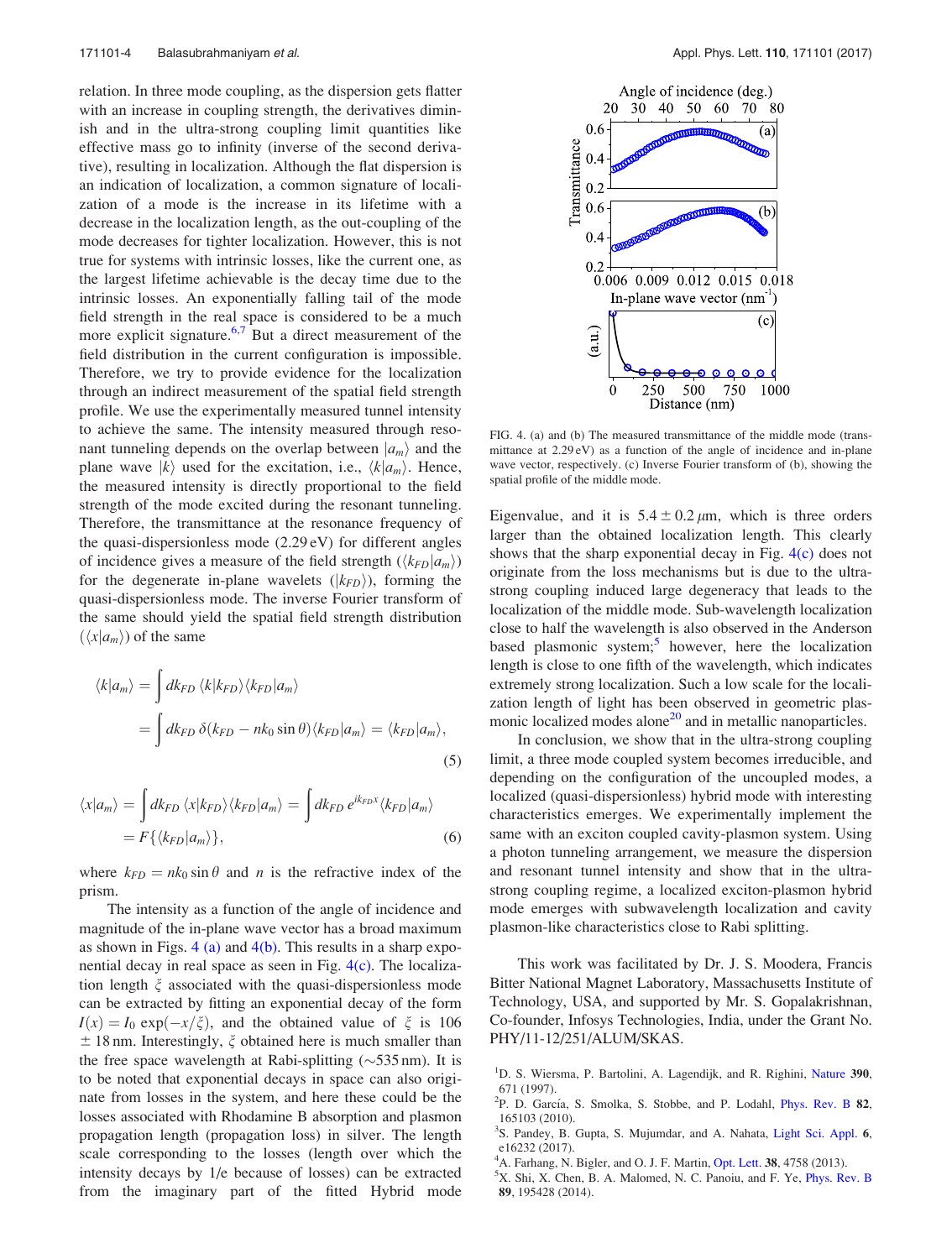relation. In three mode coupling, as the dispersion gets flatter with an increase in coupling strength, the derivatives diminish and in the ultra-strong coupling limit quantities like effective mass go to infinity (inverse of the second derivative), resulting in localization. Although the flat dispersion is an indication of localization, a common signature of localization of a mode is the increase in its lifetime with a decrease in the localization length, as the out-coupling of the mode decreases for tighter localization. However, this is not true for systems with intrinsic losses, like the current one, as the largest lifetime achievable is the decay time due to the intrinsic losses. An exponentially falling tail of the mode field strength in the real space is considered to be a much more explicit signature. $6.7$  But a direct measurement of the field distribution in the current configuration is impossible. Therefore, we try to provide evidence for the localization through an indirect measurement of the spatial field strength profile. We use the experimentally measured tunnel intensity to achieve the same. The intensity measured through resonant tunneling depends on the overlap between  $|a_m\rangle$  and the plane wave  $|k\rangle$  used for the excitation, i.e.,  $\langle k|a_m\rangle$ . Hence, the measured intensity is directly proportional to the field strength of the mode excited during the resonant tunneling. Therefore, the transmittance at the resonance frequency of the quasi-dispersionless mode (2.29 eV) for different angles of incidence gives a measure of the field strength  $(\langle k_{FD}|a_m\rangle)$ for the degenerate in-plane wavelets  $(|k_{FD}\rangle)$ , forming the quasi-dispersionless mode. The inverse Fourier transform of the same should yield the spatial field strength distribution  $(\langle x | a_m \rangle)$  of the same

$$
\langle k|a_m\rangle = \int dk_{FD} \langle k|k_{FD}\rangle \langle k_{FD}|a_m\rangle
$$
  
= 
$$
\int dk_{FD} \delta(k_{FD} - nk_0 \sin \theta) \langle k_{FD}|a_m\rangle = \langle k_{FD}|a_m\rangle,
$$
 (5)

$$
\langle x|a_m\rangle = \int dk_{FD} \langle x|k_{FD}\rangle \langle k_{FD}|a_m\rangle = \int dk_{FD} e^{ik_{FD}x} \langle k_{FD}|a_m\rangle
$$
  
=  $F\{\langle k_{FD}|a_m\rangle\},$  (6)

where  $k_{FD} = nk_0 \sin \theta$  and *n* is the refractive index of the prism.

The intensity as a function of the angle of incidence and magnitude of the in-plane wave vector has a broad maximum as shown in Figs. 4 (a) and  $4(b)$ . This results in a sharp exponential decay in real space as seen in Fig. 4(c). The localization length  $\xi$  associated with the quasi-dispersionless mode can be extracted by fitting an exponential decay of the form  $I(x) = I_0 \exp(-x/\xi)$ , and the obtained value of  $\xi$  is 106  $\pm$  18 nm. Interestingly,  $\xi$  obtained here is much smaller than the free space wavelength at Rabi-splitting  $(\sim 535 \text{ nm})$ . It is to be noted that exponential decays in space can also originate from losses in the system, and here these could be the losses associated with Rhodamine B absorption and plasmon propagation length (propagation loss) in silver. The length scale corresponding to the losses (length over which the intensity decays by 1/e because of losses) can be extracted from the imaginary part of the fitted Hybrid mode



FIG. 4. (a) and (b) The measured transmittance of the middle mode (transmittance at 2.29 eV) as a function of the angle of incidence and in-plane wave vector, respectively. (c) Inverse Fourier transform of (b), showing the spatial profile of the middle mode.

Eigenvalue, and it is  $5.4 \pm 0.2 \mu m$ , which is three orders larger than the obtained localization length. This clearly shows that the sharp exponential decay in Fig. 4(c) does not originate from the loss mechanisms but is due to the ultrastrong coupling induced large degeneracy that leads to the localization of the middle mode. Sub-wavelength localization close to half the wavelength is also observed in the Anderson based plasmonic system;<sup>5</sup> however, here the localization length is close to one fifth of the wavelength, which indicates extremely strong localization. Such a low scale for the localization length of light has been observed in geometric plasmonic localized modes alone<sup>20</sup> and in metallic nanoparticles.

In conclusion, we show that in the ultra-strong coupling limit, a three mode coupled system becomes irreducible, and depending on the configuration of the uncoupled modes, a localized (quasi-dispersionless) hybrid mode with interesting characteristics emerges. We experimentally implement the same with an exciton coupled cavity-plasmon system. Using a photon tunneling arrangement, we measure the dispersion and resonant tunnel intensity and show that in the ultrastrong coupling regime, a localized exciton-plasmon hybrid mode emerges with subwavelength localization and cavity plasmon-like characteristics close to Rabi splitting.

This work was facilitated by Dr. J. S. Moodera, Francis Bitter National Magnet Laboratory, Massachusetts Institute of Technology, USA, and supported by Mr. S. Gopalakrishnan, Co-founder, Infosys Technologies, India, under the Grant No. PHY/11-12/251/ALUM/SKAS.

- <sup>2</sup>P. D. García, S. Smolka, S. Stobbe, and P. Lodahl, *Phys. Rev. B* 82, 165103 (2010).
- <sup>3</sup>S. Pandey, B. Gupta, S. Mujumdar, and A. Nahata, Light Sci. Appl. 6, e16232 (2017).
- ${}^{4}$ A. Farhang, N. Bigler, and O. J. F. Martin, Opt. Lett. 38, 4758 (2013).
- <sup>5</sup>X. Shi, X. Chen, B. A. Malomed, N. C. Panoiu, and F. Ye, Phys. Rev. B 89, 195428 (2014).

<sup>&</sup>lt;sup>1</sup>D. S. Wiersma, P. Bartolini, A. Lagendijk, and R. Righini, Nature 390, 671 (1997).